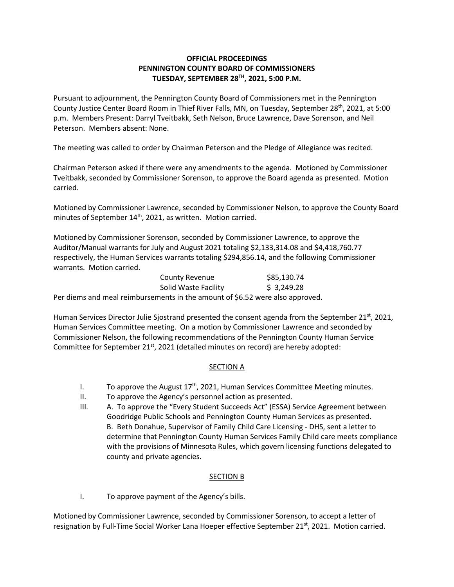## **OFFICIAL PROCEEDINGS PENNINGTON COUNTY BOARD OF COMMISSIONERS TUESDAY, SEPTEMBER 28TH, 2021, 5:00 P.M.**

Pursuant to adjournment, the Pennington County Board of Commissioners met in the Pennington County Justice Center Board Room in Thief River Falls, MN, on Tuesday, September 28<sup>th</sup>, 2021, at 5:00 p.m. Members Present: Darryl Tveitbakk, Seth Nelson, Bruce Lawrence, Dave Sorenson, and Neil Peterson. Members absent: None.

The meeting was called to order by Chairman Peterson and the Pledge of Allegiance was recited.

Chairman Peterson asked if there were any amendments to the agenda. Motioned by Commissioner Tveitbakk, seconded by Commissioner Sorenson, to approve the Board agenda as presented. Motion carried.

Motioned by Commissioner Lawrence, seconded by Commissioner Nelson, to approve the County Board minutes of September 14<sup>th</sup>, 2021, as written. Motion carried.

Motioned by Commissioner Sorenson, seconded by Commissioner Lawrence, to approve the Auditor/Manual warrants for July and August 2021 totaling \$2,133,314.08 and \$4,418,760.77 respectively, the Human Services warrants totaling \$294,856.14, and the following Commissioner warrants. Motion carried.

| County Revenue                                                                | \$85,130.74 |  |
|-------------------------------------------------------------------------------|-------------|--|
| Solid Waste Facility                                                          | \$3,249.28  |  |
| Per diems and meal reimbursements in the amount of \$6.52 were also approved. |             |  |

Human Services Director Julie Sjostrand presented the consent agenda from the September 21<sup>st</sup>, 2021, Human Services Committee meeting. On a motion by Commissioner Lawrence and seconded by Commissioner Nelson, the following recommendations of the Pennington County Human Service Committee for September 21st, 2021 (detailed minutes on record) are hereby adopted:

## SECTION A

- I. To approve the August  $17<sup>th</sup>$ , 2021, Human Services Committee Meeting minutes.
- II. To approve the Agency's personnel action as presented.
- III. A. To approve the "Every Student Succeeds Act" (ESSA) Service Agreement between Goodridge Public Schools and Pennington County Human Services as presented. B. Beth Donahue, Supervisor of Family Child Care Licensing - DHS, sent a letter to determine that Pennington County Human Services Family Child care meets compliance with the provisions of Minnesota Rules, which govern licensing functions delegated to county and private agencies.

## SECTION B

I. To approve payment of the Agency's bills.

Motioned by Commissioner Lawrence, seconded by Commissioner Sorenson, to accept a letter of resignation by Full-Time Social Worker Lana Hoeper effective September 21<sup>st</sup>, 2021. Motion carried.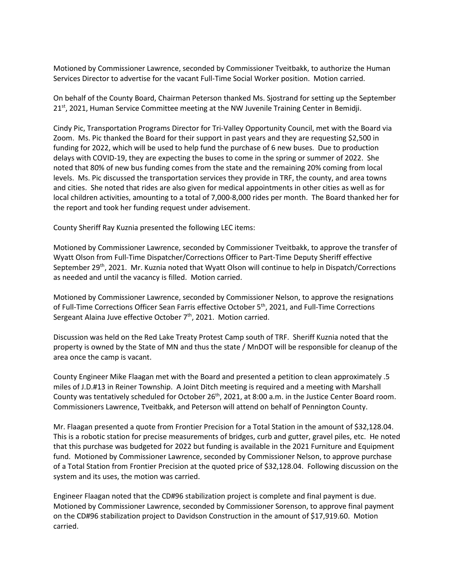Motioned by Commissioner Lawrence, seconded by Commissioner Tveitbakk, to authorize the Human Services Director to advertise for the vacant Full-Time Social Worker position. Motion carried.

On behalf of the County Board, Chairman Peterson thanked Ms. Sjostrand for setting up the September  $21<sup>st</sup>$ , 2021, Human Service Committee meeting at the NW Juvenile Training Center in Bemidji.

Cindy Pic, Transportation Programs Director for Tri-Valley Opportunity Council, met with the Board via Zoom. Ms. Pic thanked the Board for their support in past years and they are requesting \$2,500 in funding for 2022, which will be used to help fund the purchase of 6 new buses. Due to production delays with COVID-19, they are expecting the buses to come in the spring or summer of 2022. She noted that 80% of new bus funding comes from the state and the remaining 20% coming from local levels. Ms. Pic discussed the transportation services they provide in TRF, the county, and area towns and cities. She noted that rides are also given for medical appointments in other cities as well as for local children activities, amounting to a total of 7,000-8,000 rides per month. The Board thanked her for the report and took her funding request under advisement.

County Sheriff Ray Kuznia presented the following LEC items:

Motioned by Commissioner Lawrence, seconded by Commissioner Tveitbakk, to approve the transfer of Wyatt Olson from Full-Time Dispatcher/Corrections Officer to Part-Time Deputy Sheriff effective September 29<sup>th</sup>, 2021. Mr. Kuznia noted that Wyatt Olson will continue to help in Dispatch/Corrections as needed and until the vacancy is filled. Motion carried.

Motioned by Commissioner Lawrence, seconded by Commissioner Nelson, to approve the resignations of Full-Time Corrections Officer Sean Farris effective October 5<sup>th</sup>, 2021, and Full-Time Corrections Sergeant Alaina Juve effective October 7<sup>th</sup>, 2021. Motion carried.

Discussion was held on the Red Lake Treaty Protest Camp south of TRF. Sheriff Kuznia noted that the property is owned by the State of MN and thus the state / MnDOT will be responsible for cleanup of the area once the camp is vacant.

County Engineer Mike Flaagan met with the Board and presented a petition to clean approximately .5 miles of J.D.#13 in Reiner Township. A Joint Ditch meeting is required and a meeting with Marshall County was tentatively scheduled for October 26<sup>th</sup>, 2021, at 8:00 a.m. in the Justice Center Board room. Commissioners Lawrence, Tveitbakk, and Peterson will attend on behalf of Pennington County.

Mr. Flaagan presented a quote from Frontier Precision for a Total Station in the amount of \$32,128.04. This is a robotic station for precise measurements of bridges, curb and gutter, gravel piles, etc. He noted that this purchase was budgeted for 2022 but funding is available in the 2021 Furniture and Equipment fund. Motioned by Commissioner Lawrence, seconded by Commissioner Nelson, to approve purchase of a Total Station from Frontier Precision at the quoted price of \$32,128.04. Following discussion on the system and its uses, the motion was carried.

Engineer Flaagan noted that the CD#96 stabilization project is complete and final payment is due. Motioned by Commissioner Lawrence, seconded by Commissioner Sorenson, to approve final payment on the CD#96 stabilization project to Davidson Construction in the amount of \$17,919.60. Motion carried.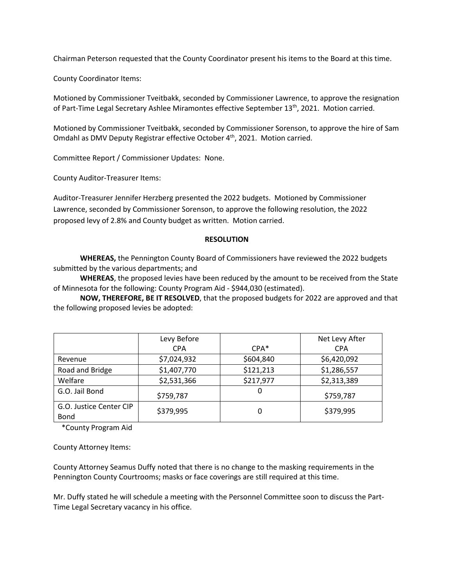Chairman Peterson requested that the County Coordinator present his items to the Board at this time.

County Coordinator Items:

Motioned by Commissioner Tveitbakk, seconded by Commissioner Lawrence, to approve the resignation of Part-Time Legal Secretary Ashlee Miramontes effective September 13<sup>th</sup>, 2021. Motion carried.

Motioned by Commissioner Tveitbakk, seconded by Commissioner Sorenson, to approve the hire of Sam Omdahl as DMV Deputy Registrar effective October 4<sup>th</sup>, 2021. Motion carried.

Committee Report / Commissioner Updates: None.

County Auditor-Treasurer Items:

Auditor-Treasurer Jennifer Herzberg presented the 2022 budgets. Motioned by Commissioner Lawrence, seconded by Commissioner Sorenson, to approve the following resolution, the 2022 proposed levy of 2.8% and County budget as written. Motion carried.

## **RESOLUTION**

**WHEREAS,** the Pennington County Board of Commissioners have reviewed the 2022 budgets submitted by the various departments; and

**WHEREAS**, the proposed levies have been reduced by the amount to be received from the State of Minnesota for the following: County Program Aid - \$944,030 (estimated).

**NOW, THEREFORE, BE IT RESOLVED**, that the proposed budgets for 2022 are approved and that the following proposed levies be adopted:

|                                 | Levy Before<br><b>CPA</b> | $CPA*$    | Net Levy After<br><b>CPA</b> |
|---------------------------------|---------------------------|-----------|------------------------------|
| Revenue                         | \$7,024,932               | \$604,840 | \$6,420,092                  |
| Road and Bridge                 | \$1,407,770               | \$121,213 | \$1,286,557                  |
| Welfare                         | \$2,531,366               | \$217,977 | \$2,313,389                  |
| G.O. Jail Bond                  | \$759,787                 | 0         | \$759,787                    |
| G.O. Justice Center CIP<br>Bond | \$379,995                 | 0         | \$379,995                    |

\*County Program Aid

County Attorney Items:

County Attorney Seamus Duffy noted that there is no change to the masking requirements in the Pennington County Courtrooms; masks or face coverings are still required at this time.

Mr. Duffy stated he will schedule a meeting with the Personnel Committee soon to discuss the Part-Time Legal Secretary vacancy in his office.